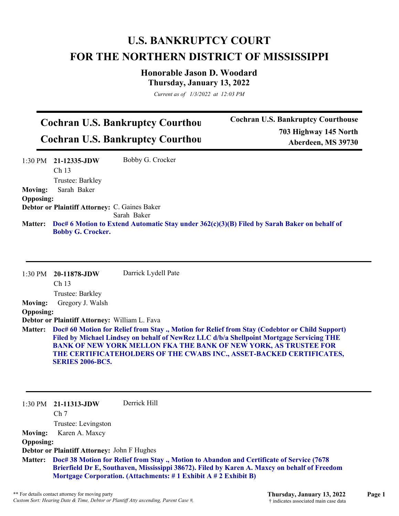## **U.S. BANKRUPTCY COURT FOR THE NORTHERN DISTRICT OF MISSISSIPPI**

**Honorable Jason D. Woodard Thursday, January 13, 2022**

*Current as of 1/3/2022 at 12:03 PM*

## **Cochran U.S. Bankruptcy Courthou Cochran U.S. Bankruptcy Courthou**

**Cochran U.S. Bankruptcy Courthouse 703 Highway 145 North Aberdeen, MS 39730**

|                  | $1:30$ PM $21-12335$ -JDW                                                                   | Bobby G. Crocker |  |
|------------------|---------------------------------------------------------------------------------------------|------------------|--|
|                  | Ch <sub>13</sub>                                                                            |                  |  |
|                  | Trustee: Barkley                                                                            |                  |  |
| <b>Moving:</b>   | Sarah Baker                                                                                 |                  |  |
| <b>Opposing:</b> |                                                                                             |                  |  |
|                  | Debtor or Plaintiff Attorney: C. Gaines Baker                                               |                  |  |
|                  |                                                                                             | Sarah Baker      |  |
| <b>Matter:</b>   | Doc# 6 Motion to Extend Automatic Stay under 362(c)(3)(B) Filed by Sarah Baker on behalf of |                  |  |
|                  | <b>Bobby G. Crocker.</b>                                                                    |                  |  |

| 1:30 PM          | 20-11878-JDW                                      | Darrick Lydell Pate                                                                                                                                                                                                                                                                                                                   |
|------------------|---------------------------------------------------|---------------------------------------------------------------------------------------------------------------------------------------------------------------------------------------------------------------------------------------------------------------------------------------------------------------------------------------|
|                  | Ch 13                                             |                                                                                                                                                                                                                                                                                                                                       |
|                  | Trustee: Barkley                                  |                                                                                                                                                                                                                                                                                                                                       |
| <b>Moving:</b>   | Gregory J. Walsh                                  |                                                                                                                                                                                                                                                                                                                                       |
| <b>Opposing:</b> |                                                   |                                                                                                                                                                                                                                                                                                                                       |
|                  | Debtor or Plaintiff Attorney: William L. Fava     |                                                                                                                                                                                                                                                                                                                                       |
| <b>Matter:</b>   | <b>SERIES 2006-BC5.</b>                           | Doc# 60 Motion for Relief from Stay., Motion for Relief from Stay (Codebtor or Child Support)<br>Filed by Michael Lindsey on behalf of NewRez LLC d/b/a Shellpoint Mortgage Servicing THE<br>BANK OF NEW YORK MELLON FKA THE BANK OF NEW YORK, AS TRUSTEE FOR<br>THE CERTIFICATEHOLDERS OF THE CWABS INC., ASSET-BACKED CERTIFICATES, |
|                  | $1:30 \text{ PM}$ 21-11313-JDW<br>Ch <sub>7</sub> | Derrick Hill                                                                                                                                                                                                                                                                                                                          |
|                  | Trustee: Levingston                               |                                                                                                                                                                                                                                                                                                                                       |
| <b>Moving:</b>   | Karen A. Maxcy                                    |                                                                                                                                                                                                                                                                                                                                       |
| <b>Opposing:</b> |                                                   |                                                                                                                                                                                                                                                                                                                                       |

**Debtor or Plaintiff Attorney:** John F Hughes

**Doc# 38 Motion for Relief from Stay ., Motion to Abandon and Certificate of Service (7678 Matter: Brierfield Dr E, Southaven, Mississippi 38672). Filed by Karen A. Maxcy on behalf of Freedom Mortgage Corporation. (Attachments: # 1 Exhibit A # 2 Exhibit B)**